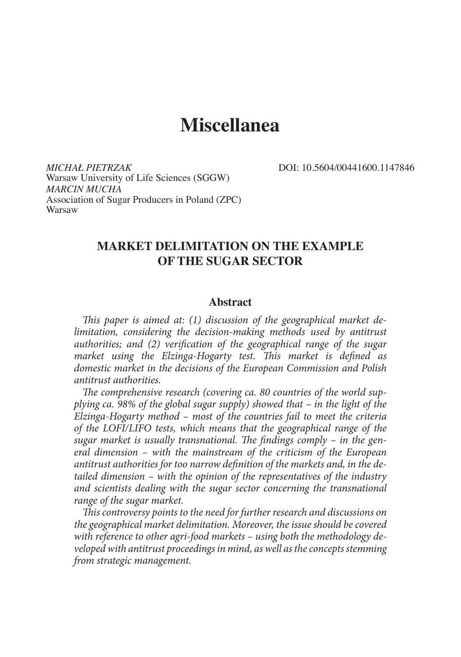# **Miscellanea**

*MICHAŁ PIETRZAK* DOI: 10.5604/00441600.1147846 Warsaw University of Life Sciences (SGGW) *MARCIN MUCHA* Association of Sugar Producers in Poland (ZPC) Warsaw

# **MARKET DELIMITATION ON THE EXAMPLE OF THE SUGAR SECTOR**

#### **Abstract**

*This paper is aimed at: (1) discussion of the geographical market delimitation, considering the decision-making methods used by antitrust authorities; and (2) verification of the geographical range of the sugar market using the Elzinga-Hogarty test. This market is defined as domestic market in the decisions of the European Commission and Polish antitrust authorities.*

*The comprehensive research (covering ca. 80 countries of the world supplying ca. 98% of the global sugar supply) showed that – in the light of the Elzinga-Hogarty method – most of the countries fail to meet the criteria of the LOFI/LIFO tests, which means that the geographical range of the sugar market is usually transnational. The findings comply – in the general dimension – with the mainstream of the criticism of the European antitrust authorities for too narrow definition of the markets and, in the detailed dimension – with the opinion of the representatives of the industry and scientists dealing with the sugar sector concerning the transnational range of the sugar market.*

*This controversy points to the need for further research and discussions on the geographical market delimitation. Moreover, the issue should be covered with reference to other agri-food markets – using both the methodology developed with antitrust proceedings in mind, as well as the concepts stemming from strategic management.*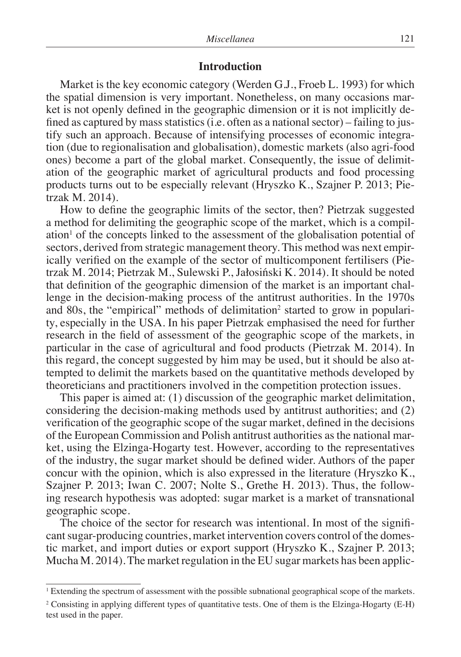#### **Introduction**

Market is the key economic category (Werden G.J., Froeb L. 1993) for which the spatial dimension is very important. Nonetheless, on many occasions market is not openly defined in the geographic dimension or it is not implicitly defined as captured by mass statistics (i.e. often as a national sector) – failing to justify such an approach. Because of intensifying processes of economic integration (due to regionalisation and globalisation), domestic markets (also agri-food ones) become a part of the global market. Consequently, the issue of delimitation of the geographic market of agricultural products and food processing products turns out to be especially relevant (Hryszko K., Szajner P. 2013; Pietrzak M. 2014).

How to define the geographic limits of the sector, then? Pietrzak suggested a method for delimiting the geographic scope of the market, which is a compil $ation<sup>1</sup>$  of the concepts linked to the assessment of the globalisation potential of sectors, derived from strategic management theory. This method was next empirically verified on the example of the sector of multicomponent fertilisers (Pietrzak M. 2014; Pietrzak M., Sulewski P., Jałosiński K. 2014). It should be noted that definition of the geographic dimension of the market is an important challenge in the decision-making process of the antitrust authorities. In the 1970s and 80s, the "empirical" methods of delimitation<sup>2</sup> started to grow in popularity, especially in the USA. In his paper Pietrzak emphasised the need for further research in the field of assessment of the geographic scope of the markets, in particular in the case of agricultural and food products (Pietrzak M. 2014). In this regard, the concept suggested by him may be used, but it should be also attempted to delimit the markets based on the quantitative methods developed by theoreticians and practitioners involved in the competition protection issues.

This paper is aimed at: (1) discussion of the geographic market delimitation, considering the decision-making methods used by antitrust authorities; and (2) verification of the geographic scope of the sugar market, defined in the decisions of the European Commission and Polish antitrust authorities as the national market, using the Elzinga-Hogarty test. However, according to the representatives of the industry, the sugar market should be defined wider. Authors of the paper concur with the opinion, which is also expressed in the literature (Hryszko K., Szajner P. 2013; Iwan C. 2007; Nolte S., Grethe H. 2013). Thus, the following research hypothesis was adopted: sugar market is a market of transnational geographic scope.

The choice of the sector for research was intentional. In most of the significant sugar-producing countries, market intervention covers control of the domestic market, and import duties or export support (Hryszko K., Szajner P. 2013; Mucha M. 2014). The market regulation in the EU sugar markets has been applic-

<sup>&</sup>lt;sup>1</sup> Extending the spectrum of assessment with the possible subnational geographical scope of the markets.

<sup>&</sup>lt;sup>2</sup> Consisting in applying different types of quantitative tests. One of them is the Elzinga-Hogarty (E-H) test used in the paper.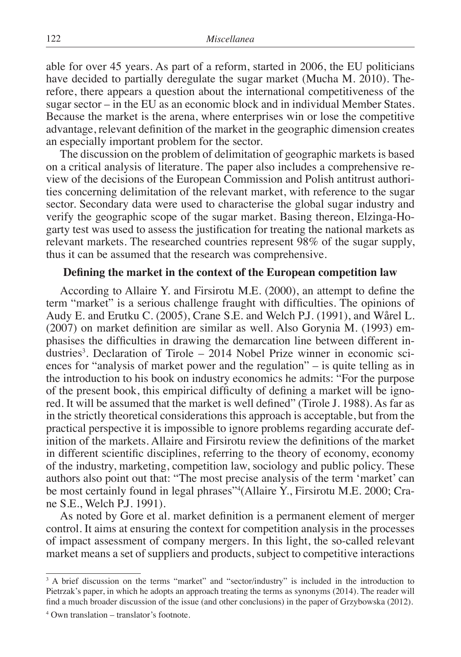able for over 45 years. As part of a reform, started in 2006, the EU politicians have decided to partially deregulate the sugar market (Mucha M. 2010). Therefore, there appears a question about the international competitiveness of the sugar sector – in the EU as an economic block and in individual Member States. Because the market is the arena, where enterprises win or lose the competitive advantage, relevant definition of the market in the geographic dimension creates an especially important problem for the sector.

The discussion on the problem of delimitation of geographic markets is based on a critical analysis of literature. The paper also includes a comprehensive review of the decisions of the European Commission and Polish antitrust authorities concerning delimitation of the relevant market, with reference to the sugar sector. Secondary data were used to characterise the global sugar industry and verify the geographic scope of the sugar market. Basing thereon, Elzinga-Hogarty test was used to assess the justification for treating the national markets as relevant markets. The researched countries represent 98% of the sugar supply, thus it can be assumed that the research was comprehensive.

#### **Defining the market in the context of the European competition law**

According to Allaire Y. and Firsirotu M.E. (2000), an attempt to define the term "market" is a serious challenge fraught with difficulties. The opinions of Audy E. and Erutku C. (2005), Crane S.E. and Welch P.J. (1991), and Wårel L. (2007) on market definition are similar as well. Also Gorynia M. (1993) emphasises the difficulties in drawing the demarcation line between different industries<sup>3</sup>. Declaration of Tirole – 2014 Nobel Prize winner in economic sciences for "analysis of market power and the regulation" – is quite telling as in the introduction to his book on industry economics he admits: "For the purpose of the present book, this empirical difficulty of defining a market will be ignored. It will be assumed that the market is well defined" (Tirole J. 1988). As far as in the strictly theoretical considerations this approach is acceptable, but from the practical perspective it is impossible to ignore problems regarding accurate definition of the markets. Allaire and Firsirotu review the definitions of the market in different scientific disciplines, referring to the theory of economy, economy of the industry, marketing, competition law, sociology and public policy. These authors also point out that: "The most precise analysis of the term 'market' can be most certainly found in legal phrases"4 (Allaire Y., Firsirotu M.E. 2000; Crane S.E., Welch P.J. 1991).

As noted by Gore et al. market definition is a permanent element of merger control. It aims at ensuring the context for competition analysis in the processes of impact assessment of company mergers. In this light, the so-called relevant market means a set of suppliers and products, subject to competitive interactions

<sup>&</sup>lt;sup>3</sup> A brief discussion on the terms "market" and "sector/industry" is included in the introduction to Pietrzak's paper, in which he adopts an approach treating the terms as synonyms (2014). The reader will find a much broader discussion of the issue (and other conclusions) in the paper of Grzybowska (2012).

<sup>4</sup> Own translation – translator's footnote.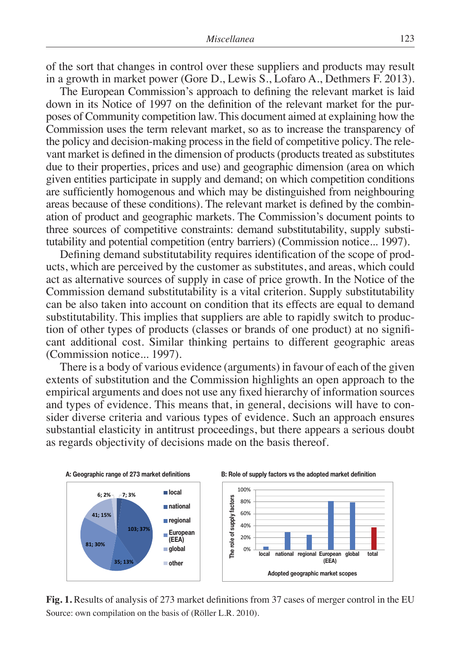of the sort that changes in control over these suppliers and products may result in a growth in market power (Gore D., Lewis S., Lofaro A., Dethmers F. 2013).

The European Commission's approach to defining the relevant market is laid down in its Notice of 1997 on the definition of the relevant market for the purposes of Community competition law. This document aimed at explaining how the Commission uses the term relevant market, so as to increase the transparency of the policy and decision-making process in the field of competitive policy. The relevant market is defined in the dimension of products (products treated as substitutes due to their properties, prices and use) and geographic dimension (area on which given entities participate in supply and demand; on which competition conditions are sufficiently homogenous and which may be distinguished from neighbouring areas because of these conditions). The relevant market is defined by the combination of product and geographic markets. The Commission's document points to three sources of competitive constraints: demand substitutability, supply substitutability and potential competition (entry barriers) (Commission notice... 1997).

Defining demand substitutability requires identification of the scope of products, which are perceived by the customer as substitutes, and areas, which could act as alternative sources of supply in case of price growth. In the Notice of the Commission demand substitutability is a vital criterion. Supply substitutability can be also taken into account on condition that its effects are equal to demand substitutability. This implies that suppliers are able to rapidly switch to production of other types of products (classes or brands of one product) at no significant additional cost. Similar thinking pertains to different geographic areas (Commission notice... 1997).

There is a body of various evidence (arguments) in favour of each of the given extents of substitution and the Commission highlights an open approach to the empirical arguments and does not use any fixed hierarchy of information sources and types of evidence. This means that, in general, decisions will have to consider diverse criteria and various types of evidence. Such an approach ensures substantial elasticity in antitrust proceedings, but there appears a serious doubt as regards objectivity of decisions made on the basis thereof.



**Fig. 1.** Results of analysis of 273 market definitions from 37 cases of merger control in the EU Source: own compilation on the basis of (Röller L.R. 2010).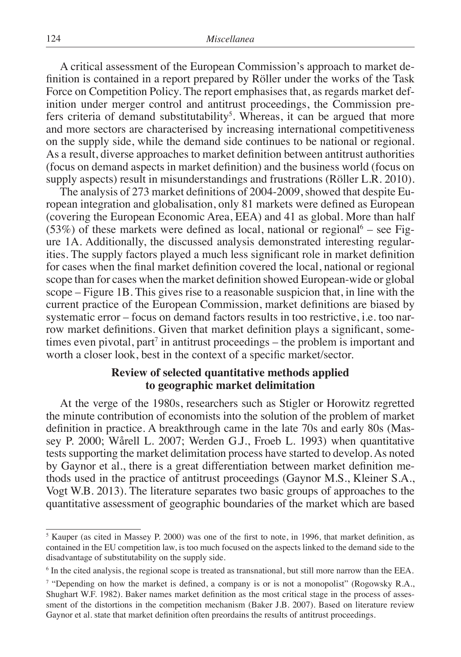A critical assessment of the European Commission's approach to market definition is contained in a report prepared by Röller under the works of the Task Force on Competition Policy. The report emphasises that, as regards market definition under merger control and antitrust proceedings, the Commission prefers criteria of demand substitutability<sup>5</sup>. Whereas, it can be argued that more and more sectors are characterised by increasing international competitiveness on the supply side, while the demand side continues to be national or regional. As a result, diverse approaches to market definition between antitrust authorities (focus on demand aspects in market definition) and the business world (focus on supply aspects) result in misunderstandings and frustrations (Röller L.R. 2010).

The analysis of 273 market definitions of 2004-2009, showed that despite European integration and globalisation, only 81 markets were defined as European (covering the European Economic Area, EEA) and 41 as global. More than half  $(53%)$  of these markets were defined as local, national or regional<sup>6</sup> – see Figure 1A. Additionally, the discussed analysis demonstrated interesting regularities. The supply factors played a much less significant role in market definition for cases when the final market definition covered the local, national or regional scope than for cases when the market definition showed European-wide or global scope – Figure 1B. This gives rise to a reasonable suspicion that, in line with the current practice of the European Commission, market definitions are biased by systematic error – focus on demand factors results in too restrictive, i.e. too narrow market definitions. Given that market definition plays a significant, sometimes even pivotal, part<sup>7</sup> in antitrust proceedings – the problem is important and worth a closer look, best in the context of a specific market/sector.

## **Review of selected quantitative methods applied to geographic market delimitation**

At the verge of the 1980s, researchers such as Stigler or Horowitz regretted the minute contribution of economists into the solution of the problem of market definition in practice. A breakthrough came in the late 70s and early 80s (Massey P. 2000; Wårell L. 2007; Werden G.J., Froeb L. 1993) when quantitative tests supporting the market delimitation process have started to develop. As noted by Gaynor et al., there is a great differentiation between market definition methods used in the practice of antitrust proceedings (Gaynor M.S., Kleiner S.A., Vogt W.B. 2013). The literature separates two basic groups of approaches to the quantitative assessment of geographic boundaries of the market which are based

<sup>&</sup>lt;sup>5</sup> Kauper (as cited in Massey P. 2000) was one of the first to note, in 1996, that market definition, as contained in the EU competition law, is too much focused on the aspects linked to the demand side to the disadvantage of substitutability on the supply side.

<sup>&</sup>lt;sup>6</sup> In the cited analysis, the regional scope is treated as transnational, but still more narrow than the EEA.

<sup>&</sup>lt;sup>7</sup> "Depending on how the market is defined, a company is or is not a monopolist" (Rogowsky R.A., Shughart W.F. 1982). Baker names market definition as the most critical stage in the process of assessment of the distortions in the competition mechanism (Baker J.B. 2007). Based on literature review Gaynor et al. state that market definition often preordains the results of antitrust proceedings.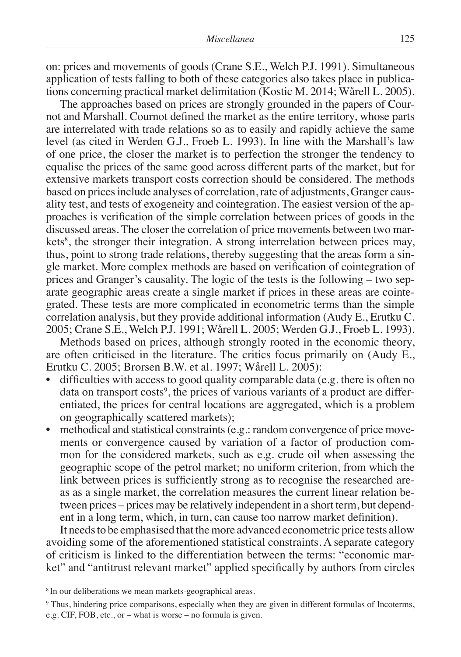on: prices and movements of goods (Crane S.E., Welch P.J. 1991). Simultaneous application of tests falling to both of these categories also takes place in publications concerning practical market delimitation (Kostic M. 2014; Wårell L. 2005).

The approaches based on prices are strongly grounded in the papers of Cournot and Marshall. Cournot defined the market as the entire territory, whose parts are interrelated with trade relations so as to easily and rapidly achieve the same level (as cited in Werden G.J., Froeb L. 1993). In line with the Marshall's law of one price, the closer the market is to perfection the stronger the tendency to equalise the prices of the same good across different parts of the market, but for extensive markets transport costs correction should be considered. The methods based on prices include analyses of correlation, rate of adjustments, Granger causality test, and tests of exogeneity and cointegration. The easiest version of the approaches is verification of the simple correlation between prices of goods in the discussed areas. The closer the correlation of price movements between two markets<sup>8</sup>, the stronger their integration. A strong interrelation between prices may, thus, point to strong trade relations, thereby suggesting that the areas form a single market. More complex methods are based on verification of cointegration of prices and Granger's causality. The logic of the tests is the following – two separate geographic areas create a single market if prices in these areas are cointegrated. These tests are more complicated in econometric terms than the simple correlation analysis, but they provide additional information (Audy E., Erutku C. 2005; Crane S.E., Welch P.J. 1991; Wårell L. 2005; Werden G.J., Froeb L. 1993).

Methods based on prices, although strongly rooted in the economic theory, are often criticised in the literature. The critics focus primarily on (Audy E., Erutku C. 2005; Brorsen B.W. et al. 1997; Wårell L. 2005):

- difficulties with access to good quality comparable data (e.g. there is often no data on transport costs<sup>9</sup>, the prices of various variants of a product are differentiated, the prices for central locations are aggregated, which is a problem on geographically scattered markets);
- methodical and statistical constraints (e.g.: random convergence of price movements or convergence caused by variation of a factor of production common for the considered markets, such as e.g. crude oil when assessing the geographic scope of the petrol market; no uniform criterion, from which the link between prices is sufficiently strong as to recognise the researched areas as a single market, the correlation measures the current linear relation between prices – prices may be relatively independent in a short term, but dependent in a long term, which, in turn, can cause too narrow market definition).

It needs to be emphasised that the more advanced econometric price tests allow avoiding some of the aforementioned statistical constraints. A separate category of criticism is linked to the differentiation between the terms: "economic market" and "antitrust relevant market" applied specifically by authors from circles

<sup>8</sup> In our deliberations we mean markets-geographical areas.

<sup>&</sup>lt;sup>9</sup> Thus, hindering price comparisons, especially when they are given in different formulas of Incoterms, e.g. CIF, FOB, etc., or – what is worse – no formula is given.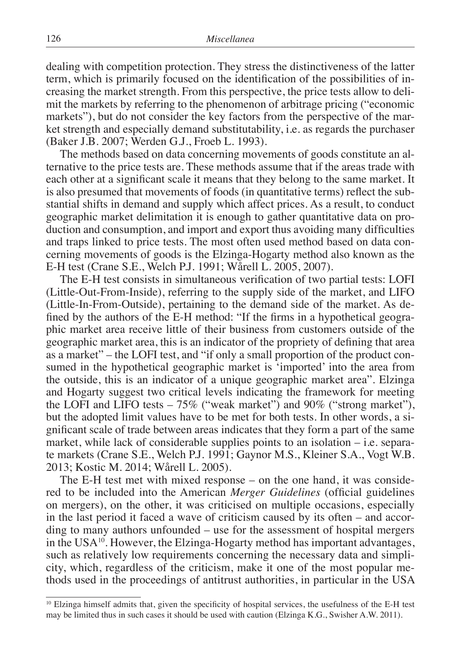dealing with competition protection. They stress the distinctiveness of the latter term, which is primarily focused on the identification of the possibilities of increasing the market strength. From this perspective, the price tests allow to delimit the markets by referring to the phenomenon of arbitrage pricing ("economic markets"), but do not consider the key factors from the perspective of the market strength and especially demand substitutability, i.e. as regards the purchaser (Baker J.B. 2007; Werden G.J., Froeb L. 1993).

The methods based on data concerning movements of goods constitute an alternative to the price tests are. These methods assume that if the areas trade with each other at a significant scale it means that they belong to the same market. It is also presumed that movements of foods (in quantitative terms) reflect the substantial shifts in demand and supply which affect prices. As a result, to conduct geographic market delimitation it is enough to gather quantitative data on production and consumption, and import and export thus avoiding many difficulties and traps linked to price tests. The most often used method based on data concerning movements of goods is the Elzinga-Hogarty method also known as the E-H test (Crane S.E., Welch P.J. 1991; Wårell L. 2005, 2007).

The E-H test consists in simultaneous verification of two partial tests: LOFI (Little-Out-From-Inside), referring to the supply side of the market, and LIFO (Little-In-From-Outside), pertaining to the demand side of the market. As defined by the authors of the E-H method: "If the firms in a hypothetical geographic market area receive little of their business from customers outside of the geographic market area, this is an indicator of the propriety of defining that area as a market" – the LOFI test, and "if only a small proportion of the product consumed in the hypothetical geographic market is 'imported' into the area from the outside, this is an indicator of a unique geographic market area". Elzinga and Hogarty suggest two critical levels indicating the framework for meeting the LOFI and LIFO tests – 75% ("weak market") and 90% ("strong market"), but the adopted limit values have to be met for both tests. In other words, a significant scale of trade between areas indicates that they form a part of the same market, while lack of considerable supplies points to an isolation – i.e. separate markets (Crane S.E., Welch P.J. 1991; Gaynor M.S., Kleiner S.A., Vogt W.B. 2013; Kostic M. 2014; Wårell L. 2005).

The E-H test met with mixed response – on the one hand, it was considered to be included into the American *Merger Guidelines* (official guidelines on mergers), on the other, it was criticised on multiple occasions, especially in the last period it faced a wave of criticism caused by its often – and according to many authors unfounded – use for the assessment of hospital mergers in the  $USA^{10}$ . However, the Elzinga-Hogarty method has important advantages, such as relatively low requirements concerning the necessary data and simplicity, which, regardless of the criticism, make it one of the most popular methods used in the proceedings of antitrust authorities, in particular in the USA

<sup>&</sup>lt;sup>10</sup> Elzinga himself admits that, given the specificity of hospital services, the usefulness of the E-H test may be limited thus in such cases it should be used with caution (Elzinga K.G., Swisher A.W. 2011).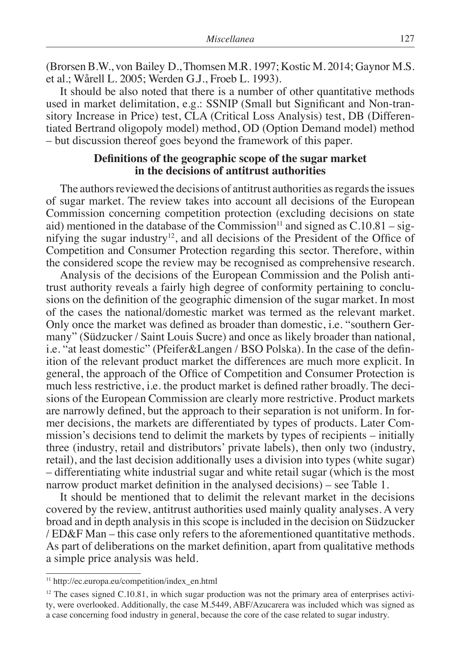(Brorsen B.W., von Bailey D., Thomsen M.R. 1997; Kostic M. 2014; Gaynor M.S. et al.; Wårell L. 2005; Werden G.J., Froeb L. 1993).

It should be also noted that there is a number of other quantitative methods used in market delimitation, e.g.: SSNIP (Small but Significant and Non-transitory Increase in Price) test, CLA (Critical Loss Analysis) test, DB (Differentiated Bertrand oligopoly model) method, OD (Option Demand model) method – but discussion thereof goes beyond the framework of this paper.

#### **Definitions of the geographic scope of the sugar market in the decisions of antitrust authorities**

The authors reviewed the decisions of antitrust authorities as regards the issues of sugar market. The review takes into account all decisions of the European Commission concerning competition protection (excluding decisions on state aid) mentioned in the database of the Commission<sup>11</sup> and signed as  $C.10.81 - sig$ nifying the sugar industry<sup>12</sup>, and all decisions of the President of the Office of Competition and Consumer Protection regarding this sector. Therefore, within the considered scope the review may be recognised as comprehensive research.

Analysis of the decisions of the European Commission and the Polish antitrust authority reveals a fairly high degree of conformity pertaining to conclusions on the definition of the geographic dimension of the sugar market. In most of the cases the national/domestic market was termed as the relevant market. Only once the market was defined as broader than domestic, i.e. "southern Germany" (Südzucker / Saint Louis Sucre) and once as likely broader than national, i.e. "at least domestic" (Pfeifer&Langen / BSO Polska). In the case of the definition of the relevant product market the differences are much more explicit. In general, the approach of the Office of Competition and Consumer Protection is much less restrictive, i.e. the product market is defined rather broadly. The decisions of the European Commission are clearly more restrictive. Product markets are narrowly defined, but the approach to their separation is not uniform. In former decisions, the markets are differentiated by types of products. Later Commission's decisions tend to delimit the markets by types of recipients – initially three (industry, retail and distributors' private labels), then only two (industry, retail), and the last decision additionally uses a division into types (white sugar) – differentiating white industrial sugar and white retail sugar (which is the most narrow product market definition in the analysed decisions) – see Table 1.

It should be mentioned that to delimit the relevant market in the decisions covered by the review, antitrust authorities used mainly quality analyses. A very broad and in depth analysis in this scope is included in the decision on Südzucker / ED&F Man – this case only refers to the aforementioned quantitative methods. As part of deliberations on the market definition, apart from qualitative methods a simple price analysis was held.

<sup>&</sup>lt;sup>11</sup> http://ec.europa.eu/competition/index\_en.html

 $12$  The cases signed C.10.81, in which sugar production was not the primary area of enterprises activity, were overlooked. Additionally, the case M.5449, ABF/Azucarera was included which was signed as a case concerning food industry in general, because the core of the case related to sugar industry.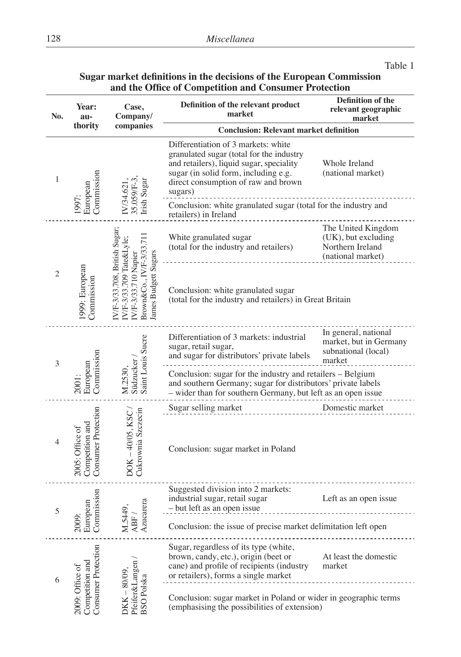#### Table 1

### **Sugar market definitions in the decisions of the European Commission and the Office of Competition and Consumer Protection**

| No. | <b>Year:</b><br>au-                                       | Case,<br>Company/                                                                                                                       | Definition of the relevant product<br>market                                                                                                                                                                          | <b>Definition of the</b><br>relevant geographic<br>market                          |  |  |  |  |  |  |
|-----|-----------------------------------------------------------|-----------------------------------------------------------------------------------------------------------------------------------------|-----------------------------------------------------------------------------------------------------------------------------------------------------------------------------------------------------------------------|------------------------------------------------------------------------------------|--|--|--|--|--|--|
|     | thority                                                   | companies                                                                                                                               | <b>Conclusion: Relevant market definition</b>                                                                                                                                                                         |                                                                                    |  |  |  |  |  |  |
| 1   | Commission<br>European                                    | Irish Sugar<br>35.059/F-<br>IV/34.62                                                                                                    | Differentiation of 3 markets: white<br>granulated sugar (total for the industry<br>and retailers), liquid sugar, speciality<br>sugar (in solid form, including e.g.<br>direct consumption of raw and brown<br>sugars) | Whole Ireland<br>(national market)                                                 |  |  |  |  |  |  |
|     | 1997:                                                     |                                                                                                                                         | Conclusion: white granulated sugar (total for the industry and<br>retailers) in Ireland                                                                                                                               |                                                                                    |  |  |  |  |  |  |
|     |                                                           |                                                                                                                                         | White granulated sugar<br>(total for the industry and retailers)                                                                                                                                                      | The United Kingdom<br>(UK), but excluding<br>Northern Ireland<br>(national market) |  |  |  |  |  |  |
| 2   | 1999: European<br>Commission                              | N/F-3/33.708, British Sugar<br>Brown&Co., IV/F-3/33.71<br>N/F-3/33.709 Tate&Lyle:<br>lames Budgett Sugars<br><b>IVF-3/33.710 Napier</b> | Conclusion: white granulated sugar<br>(total for the industry and retailers) in Great Britain                                                                                                                         |                                                                                    |  |  |  |  |  |  |
| 3   |                                                           | Saint Louis Sucre                                                                                                                       | Differentiation of 3 markets: industrial<br>sugar, retail sugar,<br>and sugar for distributors' private labels                                                                                                        | In general, national<br>market, but in Germany<br>subnational (local)<br>market    |  |  |  |  |  |  |
|     | Commission<br>European<br>2001:                           | Südzucker<br>M.2530,                                                                                                                    | Conclusion: sugar for the industry and retailers – Belgium<br>and southern Germany; sugar for distributors' private labels<br>- wider than for southern Germany, but left as an open issue                            |                                                                                    |  |  |  |  |  |  |
|     |                                                           |                                                                                                                                         | Sugar selling market                                                                                                                                                                                                  | Domestic market                                                                    |  |  |  |  |  |  |
| 4   | Consumer Protection<br>Competition and<br>2005: Office of | Cukrownia Szczecin<br>DOK-40/05, KSC                                                                                                    | Conclusion: sugar market in Poland                                                                                                                                                                                    |                                                                                    |  |  |  |  |  |  |
| 5   | Commission<br>European                                    | Azucarera                                                                                                                               | Suggested division into 2 markets:<br>industrial sugar, retail sugar<br>- but left as an open issue                                                                                                                   | Left as an open issue                                                              |  |  |  |  |  |  |
|     | 2009:                                                     | M.5449<br>ABF.                                                                                                                          | Conclusion: the issue of precise market delimitation left open                                                                                                                                                        |                                                                                    |  |  |  |  |  |  |
| 6   | Consumer Protection                                       | $-80/09$                                                                                                                                | Sugar, regardless of its type (white,<br>brown, candy, etc.), origin (beet or<br>cane) and profile of recipients (industry<br>or retailers), forms a single market                                                    | At least the domestic<br>market                                                    |  |  |  |  |  |  |
|     | Competition and<br>2009: Office of                        | Pfeifer&Langen<br><b>BSO</b> Polska<br>DKK                                                                                              | Conclusion: sugar market in Poland or wider in geographic terms<br>(emphasising the possibilities of extension)                                                                                                       |                                                                                    |  |  |  |  |  |  |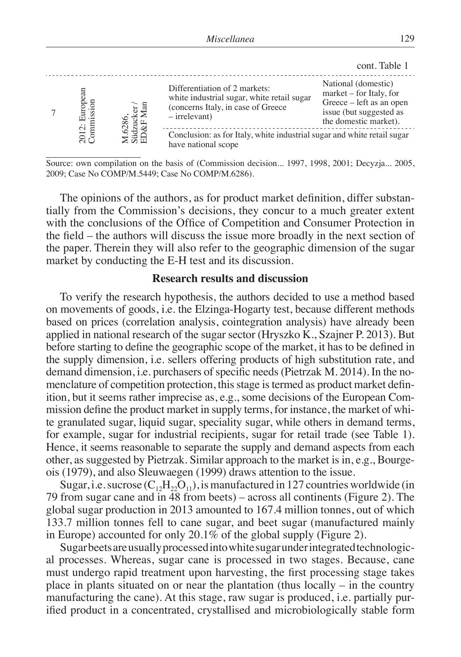|                            |             |                                                                                                                                      | cont. Table 1                                                                                                                  |
|----------------------------|-------------|--------------------------------------------------------------------------------------------------------------------------------------|--------------------------------------------------------------------------------------------------------------------------------|
| 2012: Europe<br>Commission | ដ<br>ខែ     | Differentiation of 2 markets:<br>white industrial sugar, white retail sugar<br>(concerns Italy, in case of Greece<br>$-$ irrelevant) | National (domestic)<br>market – for Italy, for<br>Greece – left as an open<br>issue (but suggested as<br>the domestic market). |
|                            | <u>ដីដំ</u> | Conclusion: as for Italy, white industrial sugar and white retail sugar<br>have national scope                                       |                                                                                                                                |

Source: own compilation on the basis of (Commission decision... 1997, 1998, 2001; Decyzja... 2005, 2009; Case No COMP/M.5449; Case No COMP/M.6286).

The opinions of the authors, as for product market definition, differ substantially from the Commission's decisions, they concur to a much greater extent with the conclusions of the Office of Competition and Consumer Protection in the field – the authors will discuss the issue more broadly in the next section of the paper. Therein they will also refer to the geographic dimension of the sugar market by conducting the E-H test and its discussion.

#### **Research results and discussion**

To verify the research hypothesis, the authors decided to use a method based on movements of goods, i.e. the Elzinga-Hogarty test, because different methods based on prices (correlation analysis, cointegration analysis) have already been applied in national research of the sugar sector (Hryszko K., Szajner P. 2013). But before starting to define the geographic scope of the market, it has to be defined in the supply dimension, i.e. sellers offering products of high substitution rate, and demand dimension, i.e. purchasers of specific needs (Pietrzak M. 2014). In the nomenclature of competition protection, this stage is termed as product market definition, but it seems rather imprecise as, e.g., some decisions of the European Commission define the product market in supply terms, for instance, the market of white granulated sugar, liquid sugar, speciality sugar, while others in demand terms, for example, sugar for industrial recipients, sugar for retail trade (see Table 1). Hence, it seems reasonable to separate the supply and demand aspects from each other, as suggested by Pietrzak. Similar approach to the market is in, e.g., Bourgeois (1979), and also Sleuwaegen (1999) draws attention to the issue.

Sugar, i.e. sucrose  $(C_1,H_2,O_1)$ , is manufactured in 127 countries worldwide (in 79 from sugar cane and in 48 from beets) – across all continents (Figure 2). The global sugar production in 2013 amounted to 167.4 million tonnes, out of which 133.7 million tonnes fell to cane sugar, and beet sugar (manufactured mainly in Europe) accounted for only 20.1% of the global supply (Figure 2).

Sugar beets are usually processed into white sugar under integrated technological processes. Whereas, sugar cane is processed in two stages. Because, cane must undergo rapid treatment upon harvesting, the first processing stage takes place in plants situated on or near the plantation (thus locally – in the country manufacturing the cane). At this stage, raw sugar is produced, i.e. partially purified product in a concentrated, crystallised and microbiologically stable form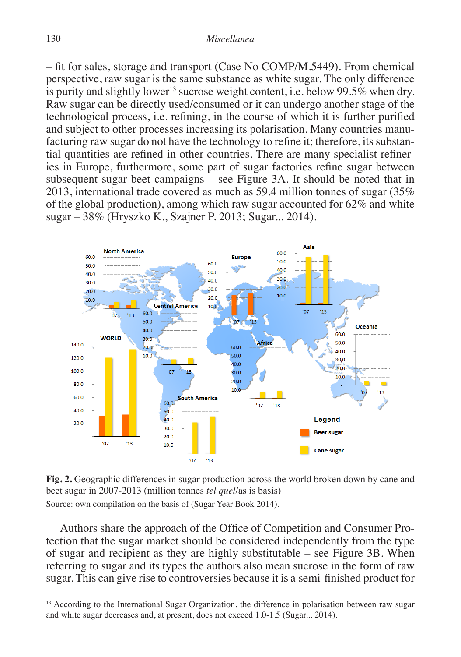– fit for sales, storage and transport (Case No COMP/M.5449). From chemical perspective, raw sugar is the same substance as white sugar. The only difference is purity and slightly lower<sup>13</sup> sucrose weight content, i.e. below 99.5% when dry. Raw sugar can be directly used/consumed or it can undergo another stage of the technological process, i.e. refining, in the course of which it is further purified and subject to other processes increasing its polarisation. Many countries manufacturing raw sugar do not have the technology to refine it; therefore, its substantial quantities are refined in other countries. There are many specialist refineries in Europe, furthermore, some part of sugar factories refine sugar between subsequent sugar beet campaigns – see Figure 3A. It should be noted that in 2013, international trade covered as much as 59.4 million tonnes of sugar (35% of the global production), among which raw sugar accounted for 62% and white sugar – 38% (Hryszko K., Szajner P. 2013; Sugar... 2014).



**Fig. 2.** Geographic differences in sugar production across the world broken down by cane and beet sugar in 2007-2013 (million tonnes *tel quel*/as is basis) Source: own compilation on the basis of (Sugar Year Book 2014).

Authors share the approach of the Office of Competition and Consumer Protection that the sugar market should be considered independently from the type of sugar and recipient as they are highly substitutable – see Figure 3B. When referring to sugar and its types the authors also mean sucrose in the form of raw sugar. This can give rise to controversies because it is a semi-finished product for

<sup>&</sup>lt;sup>13</sup> According to the International Sugar Organization, the difference in polarisation between raw sugar and white sugar decreases and, at present, does not exceed 1.0-1.5 (Sugar... 2014).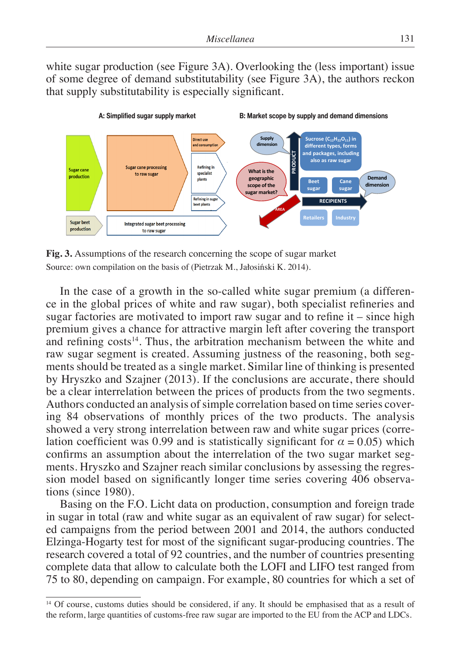white sugar production (see Figure 3A). Overlooking the (less important) issue of some degree of demand substitutability (see Figure 3A), the authors reckon that supply substitutability is especially significant.



**Fig. 3.** Assumptions of the research concerning the scope of sugar market Source: own compilation on the basis of (Pietrzak M., Jałosiński K. 2014).

In the case of a growth in the so-called white sugar premium (a difference in the global prices of white and raw sugar), both specialist refineries and sugar factories are motivated to import raw sugar and to refine it – since high premium gives a chance for attractive margin left after covering the transport and refining  $costs<sup>14</sup>$ . Thus, the arbitration mechanism between the white and raw sugar segment is created. Assuming justness of the reasoning, both segments should be treated as a single market. Similar line of thinking is presented by Hryszko and Szajner (2013). If the conclusions are accurate, there should be a clear interrelation between the prices of products from the two segments. Authors conducted an analysis of simple correlation based on time series covering 84 observations of monthly prices of the two products. The analysis showed a very strong interrelation between raw and white sugar prices (correlation coefficient was 0.99 and is statistically significant for  $\alpha = 0.05$ ) which confirms an assumption about the interrelation of the two sugar market segments. Hryszko and Szajner reach similar conclusions by assessing the regression model based on significantly longer time series covering 406 observations (since 1980).

Basing on the F.O. Licht data on production, consumption and foreign trade in sugar in total (raw and white sugar as an equivalent of raw sugar) for selected campaigns from the period between 2001 and 2014, the authors conducted Elzinga-Hogarty test for most of the significant sugar-producing countries. The research covered a total of 92 countries, and the number of countries presenting complete data that allow to calculate both the LOFI and LIFO test ranged from 75 to 80, depending on campaign. For example, 80 countries for which a set of

<sup>&</sup>lt;sup>14</sup> Of course, customs duties should be considered, if any. It should be emphasised that as a result of the reform, large quantities of customs-free raw sugar are imported to the EU from the ACP and LDCs.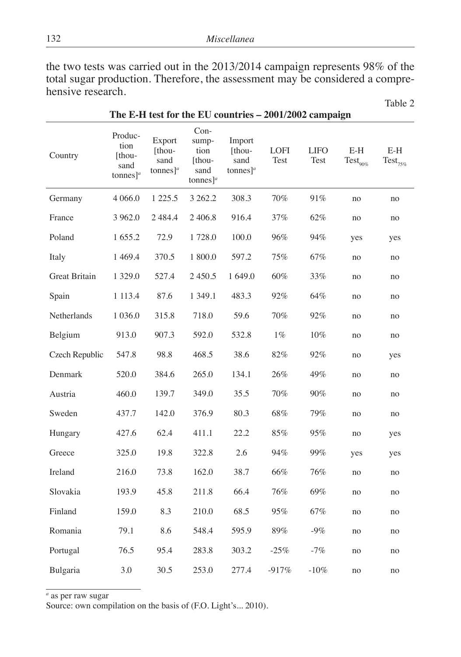the two tests was carried out in the 2013/2014 campaign represents 98% of the total sugar production. Therefore, the assessment may be considered a comprehensive research.

Table 2

| Country              | Produc-<br>tion<br>[thou-<br>sand<br>tonnes] $a$ | Export<br>[thou-<br>sand<br>tonnes] <sup><i>a</i></sup> | $Con-$<br>sump-<br>tion<br>[thou-<br>sand<br>tonnes] <sup><i>a</i></sup> | Import<br>[thou-<br>sand<br>tonnes] <sup><i>a</i></sup> | <b>LOFI</b><br>Test | <b>LIFO</b><br>Test | $\operatorname{E-H}$<br>$\mathrm{Test}_{90\%}$ | $E-H$<br>$\text{Test}_{75\%}$ |
|----------------------|--------------------------------------------------|---------------------------------------------------------|--------------------------------------------------------------------------|---------------------------------------------------------|---------------------|---------------------|------------------------------------------------|-------------------------------|
| Germany              | 4 0 6 6.0                                        | 1 2 2 5 .5                                              | 3 262.2                                                                  | 308.3                                                   | 70%                 | 91%                 | no                                             | no                            |
| France               | 3 9 6 2.0                                        | 2484.4                                                  | 2406.8                                                                   | 916.4                                                   | 37%                 | 62%                 | no                                             | no                            |
| Poland               | 1655.2                                           | 72.9                                                    | 1728.0                                                                   | 100.0                                                   | 96%                 | 94%                 | yes                                            | yes                           |
| Italy                | 1 4 6 9.4                                        | 370.5                                                   | 1 800.0                                                                  | 597.2                                                   | 75%                 | 67%                 | no                                             | no                            |
| <b>Great Britain</b> | 1 3 2 9 .0                                       | 527.4                                                   | 2 4 5 0.5                                                                | 1 649.0                                                 | 60%                 | 33%                 | no                                             | no                            |
| Spain                | 1 1 1 3 .4                                       | 87.6                                                    | 1 3 4 9 .1                                                               | 483.3                                                   | 92%                 | 64%                 | no                                             | no                            |
| Netherlands          | 1 0 3 6 .0                                       | 315.8                                                   | 718.0                                                                    | 59.6                                                    | 70%                 | 92%                 | no                                             | no                            |
| Belgium              | 913.0                                            | 907.3                                                   | 592.0                                                                    | 532.8                                                   | $1\%$               | $10\%$              | no                                             | no                            |
| Czech Republic       | 547.8                                            | 98.8                                                    | 468.5                                                                    | 38.6                                                    | $82\%$              | 92%                 | no                                             | yes                           |
| Denmark              | 520.0                                            | 384.6                                                   | 265.0                                                                    | 134.1                                                   | 26%                 | 49%                 | no                                             | no                            |
| Austria              | 460.0                                            | 139.7                                                   | 349.0                                                                    | 35.5                                                    | 70%                 | 90%                 | no                                             | no                            |
| Sweden               | 437.7                                            | 142.0                                                   | 376.9                                                                    | 80.3                                                    | 68%                 | 79%                 | no                                             | no                            |
| Hungary              | 427.6                                            | 62.4                                                    | 411.1                                                                    | 22.2                                                    | 85%                 | 95%                 | no                                             | yes                           |
| Greece               | 325.0                                            | 19.8                                                    | 322.8                                                                    | 2.6                                                     | 94%                 | 99%                 | yes                                            | yes                           |
| Ireland              | 216.0                                            | 73.8                                                    | 162.0                                                                    | 38.7                                                    | 66%                 | 76%                 | no                                             | no                            |
| Slovakia             | 193.9                                            | 45.8                                                    | 211.8                                                                    | 66.4                                                    | 76%                 | 69%                 | no                                             | no                            |
| Finland              | 159.0                                            | 8.3                                                     | 210.0                                                                    | 68.5                                                    | 95%                 | 67%                 | no                                             | no                            |
| Romania              | 79.1                                             | 8.6                                                     | 548.4                                                                    | 595.9                                                   | 89%                 | $-9\%$              | no                                             | no                            |
| Portugal             | 76.5                                             | 95.4                                                    | 283.8                                                                    | 303.2                                                   | $-25%$              | $-7%$               | no                                             | no                            |
| Bulgaria             | 3.0                                              | 30.5                                                    | 253.0                                                                    | 277.4                                                   | $-917%$             | $-10%$              | no                                             | no                            |

**The E-H test for the EU countries – 2001/2002 campaign**

*a* as per raw sugar

Source: own compilation on the basis of (F.O. Light's... 2010).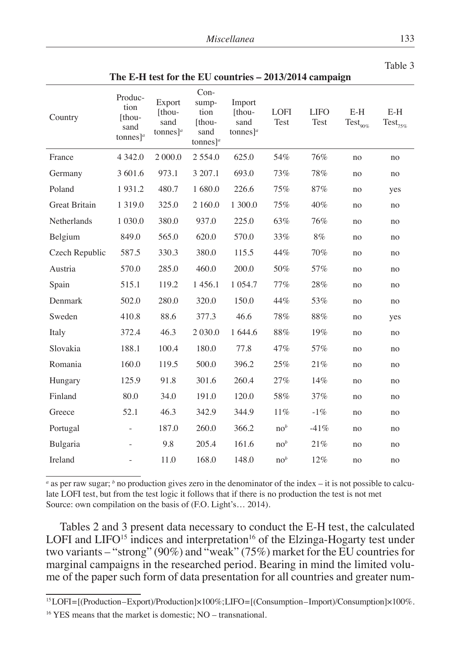Table 3

| Country              | Produc-<br>tion<br>[thou-<br>sand<br>tonnes] <sup><i>a</i></sup> | Export<br>[thou-<br>sand<br>tonnes] <sup><i>a</i></sup> | $Con-$<br>sump-<br>tion<br>[thou-<br>sand<br>tonnes] $a$ | Import<br>[thou-<br>sand<br>tonnes] <sup><i>a</i></sup> | <b>LOFI</b><br>Test | <b>LIFO</b><br>Test | $E-H$<br>$\mathrm{Test}_{90\%}$ | $E-H$<br>$\text{Test}_{75\%}$ |
|----------------------|------------------------------------------------------------------|---------------------------------------------------------|----------------------------------------------------------|---------------------------------------------------------|---------------------|---------------------|---------------------------------|-------------------------------|
| France               | 4 3 4 2.0                                                        | 2 000.0                                                 | 2 5 5 4 .0                                               | 625.0                                                   | 54%                 | 76%                 | no                              | no                            |
| Germany              | 3 601.6                                                          | 973.1                                                   | 3 207.1                                                  | 693.0                                                   | 73%                 | 78%                 | no                              | no                            |
| Poland               | 1931.2                                                           | 480.7                                                   | 1 680.0                                                  | 226.6                                                   | 75%                 | 87%                 | no                              | yes                           |
| <b>Great Britain</b> | 1 3 1 9 .0                                                       | 325.0                                                   | 2 160.0                                                  | 1 300.0                                                 | 75%                 | 40%                 | no                              | no                            |
| Netherlands          | 1 0 3 0 .0                                                       | 380.0                                                   | 937.0                                                    | 225.0                                                   | 63%                 | 76%                 | no                              | no                            |
| Belgium              | 849.0                                                            | 565.0                                                   | 620.0                                                    | 570.0                                                   | 33%                 | 8%                  | no                              | no                            |
| Czech Republic       | 587.5                                                            | 330.3                                                   | 380.0                                                    | 115.5                                                   | 44%                 | 70%                 | no                              | no                            |
| Austria              | 570.0                                                            | 285.0                                                   | 460.0                                                    | 200.0                                                   | 50%                 | 57%                 | no                              | no                            |
| Spain                | 515.1                                                            | 119.2                                                   | 1456.1                                                   | 1 0 5 4 .7                                              | 77%                 | 28%                 | no                              | no                            |
| Denmark              | 502.0                                                            | 280.0                                                   | 320.0                                                    | 150.0                                                   | 44%                 | 53%                 | no                              | no                            |
| Sweden               | 410.8                                                            | 88.6                                                    | 377.3                                                    | 46.6                                                    | 78%                 | 88%                 | no                              | yes                           |
| Italy                | 372.4                                                            | 46.3                                                    | 2 0 3 0.0                                                | 1 644.6                                                 | $88\%$              | 19%                 | no                              | no                            |
| Slovakia             | 188.1                                                            | 100.4                                                   | 180.0                                                    | 77.8                                                    | 47%                 | 57%                 | no                              | no                            |
| Romania              | 160.0                                                            | 119.5                                                   | 500.0                                                    | 396.2                                                   | 25%                 | 21%                 | no                              | no                            |
| Hungary              | 125.9                                                            | 91.8                                                    | 301.6                                                    | 260.4                                                   | 27%                 | 14%                 | no                              | no                            |
| Finland              | 80.0                                                             | 34.0                                                    | 191.0                                                    | 120.0                                                   | 58%                 | 37%                 | no                              | no                            |
| Greece               | 52.1                                                             | 46.3                                                    | 342.9                                                    | 344.9                                                   | 11%                 | $-1\%$              | no                              | no                            |
| Portugal             |                                                                  | 187.0                                                   | 260.0                                                    | 366.2                                                   | no <sup>b</sup>     | $-41%$              | no                              | no                            |
| Bulgaria             | $\overline{\phantom{m}}$                                         | 9.8                                                     | 205.4                                                    | 161.6                                                   | no <sup>b</sup>     | 21%                 | no                              | no                            |
| Ireland              |                                                                  | 11.0                                                    | 168.0                                                    | 148.0                                                   | no <sup>b</sup>     | 12%                 | no                              | no                            |

**The E-H test for the EU countries – 2013/2014 campaign**

*a* as per raw sugar; *b* no production gives zero in the denominator of the index – it is not possible to calculate LOFI test, but from the test logic it follows that if there is no production the test is not met Source: own compilation on the basis of (F.O. Light's... 2014).

Tables 2 and 3 present data necessary to conduct the E-H test, the calculated LOFI and LIFO<sup>15</sup> indices and interpretation<sup>16</sup> of the Elzinga-Hogarty test under two variants – "strong" (90%) and "weak" (75%) market for the EU countries for marginal campaigns in the researched period. Bearing in mind the limited volume of the paper such form of data presentation for all countries and greater num-

<sup>15</sup> LOFI = [(Production – Export)/Production]×100%; LIFO = [(Consumption – Import)/Consumption]×100%.

<sup>&</sup>lt;sup>16</sup> YES means that the market is domestic; NO – transnational.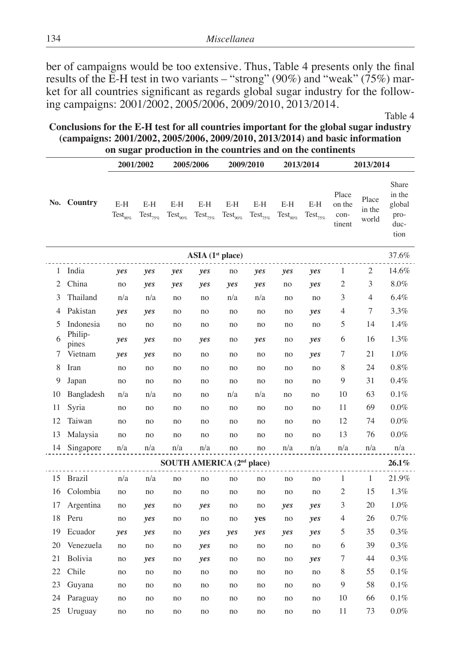ber of campaigns would be too extensive. Thus, Table 4 presents only the final results of the E-H test in two variants – "strong" (90%) and "weak" (75%) market for all countries significant as regards global sugar industry for the following campaigns: 2001/2002, 2005/2006, 2009/2010, 2013/2014.

Table 4

**Conclusions for the E-H test for all countries important for the global sugar industry (campaigns: 2001/2002, 2005/2006, 2009/2010, 2013/2014) and basic information on sugar production in the countries and on the continents**

|                |                                      | 2001/2002                   |                               | 2005/2006                             |                      | 2009/2010                   |                               | 2013/2014                     |                     | 2013/2014                         |                          |                                                   |  |
|----------------|--------------------------------------|-----------------------------|-------------------------------|---------------------------------------|----------------------|-----------------------------|-------------------------------|-------------------------------|---------------------|-----------------------------------|--------------------------|---------------------------------------------------|--|
|                | No. Country                          | E-H<br>$\text{Test}_{90\%}$ | $E-H$<br>$\text{Test}_{75\%}$ | E-H<br>$\text{Test}_{90\%}$           | E-H<br>$Test_{75\%}$ | E-H<br>$\text{Test}_{90\%}$ | $E-H$<br>$\text{Test}_{75\%}$ | E-H<br>$\mathrm{Test}_{90\%}$ | E-H<br>$Test_{75%}$ | Place<br>on the<br>con-<br>tinent | Place<br>in the<br>world | Share<br>in the<br>global<br>pro-<br>duc-<br>tion |  |
|                | ASIA(1 <sup>st</sup> place)<br>37.6% |                             |                               |                                       |                      |                             |                               |                               |                     |                                   |                          |                                                   |  |
| 1              | India                                | yes                         | yes                           | yes                                   | yes                  | no                          | yes                           | yes                           | yes                 | 1                                 | 2                        | 14.6%                                             |  |
| $\overline{2}$ | China                                | no                          | yes                           | yes                                   | yes                  | yes                         | yes                           | no                            | yes                 | $\overline{c}$                    | 3                        | $8.0\%$                                           |  |
| 3              | Thailand                             | n/a                         | n/a                           | no                                    | no                   | n/a                         | n/a                           | no                            | no                  | 3                                 | 4                        | $6.4\%$                                           |  |
| 4              | Pakistan                             | yes                         | yes                           | no                                    | no                   | no                          | no                            | no                            | yes                 | 4                                 | 7                        | 3.3%                                              |  |
| 5              | Indonesia                            | no                          | no                            | no                                    | no                   | no                          | no                            | no                            | no                  | 5                                 | 14                       | 1.4%                                              |  |
| 6              | Philip-                              | yes                         | yes                           | no                                    | yes                  | no                          | yes                           | no                            | yes                 | 6                                 | 16                       | 1.3%                                              |  |
| 7              | pines<br>Vietnam                     | yes                         | yes                           | no                                    | no                   | no                          | no                            | no                            | yes                 | 7                                 | 21                       | 1.0%                                              |  |
| 8              | Iran                                 | no                          | no                            | no                                    | no                   | no                          | no                            | no                            | no                  | 8                                 | 24                       | 0.8%                                              |  |
| 9              | Japan                                | no                          | no                            | no                                    | no                   | no                          | no                            | no                            | no                  | 9                                 | 31                       | 0.4%                                              |  |
| 10             | Bangladesh                           | n/a                         | n/a                           | no                                    | no                   | n/a                         | n/a                           | no                            | no                  | 10                                | 63                       | 0.1%                                              |  |
| 11             | Syria                                | no                          | no                            | no                                    | no                   | no                          | no                            | no                            | no                  | 11                                | 69                       | $0.0\%$                                           |  |
| 12             | Taiwan                               | no                          | no                            | no                                    | no                   | no                          | no                            | no                            | no                  | 12                                | 74                       | $0.0\%$                                           |  |
| 13             | Malaysia                             | no                          | no                            | no                                    | no                   | no                          | no                            | no                            | no                  | 13                                | 76                       | $0.0\%$                                           |  |
| 14             | Singapore                            | n/a                         | n/a                           | n/a                                   | n/a                  | no                          | no                            | n/a                           | n/a                 | n/a                               | n/a                      | n/a                                               |  |
|                |                                      |                             |                               | SOUTH AMERICA (2 <sup>nd</sup> place) |                      |                             |                               |                               |                     |                                   |                          | $26.1\%$                                          |  |
| 15             | <b>Brazil</b>                        | n/a                         | n/a                           | no                                    | no                   | no                          | no                            | no                            | no                  | 1                                 | 1                        | 21.9%                                             |  |
| 16             | Colombia                             | no                          | no                            | no                                    | no                   | no                          | no                            | no                            | no                  | 2                                 | 15                       | 1.3%                                              |  |
| 17             | Argentina                            | no                          | yes                           | no                                    | yes                  | no                          | no                            | yes                           | yes                 | 3                                 | 20                       | 1.0%                                              |  |
| 18             | Peru                                 | no                          | yes                           | no                                    | no                   | no                          | yes                           | no                            | yes                 | 4                                 | 26                       | 0.7%                                              |  |
| 19             | Ecuador                              | yes                         | yes                           | no                                    | yes                  | yes                         | yes                           | yes                           | yes                 | 5                                 | 35                       | 0.3%                                              |  |
| 20             | Venezuela                            | no                          | no                            | no                                    | yes                  | no                          | no                            | no                            | no                  | 6                                 | 39                       | 0.3%                                              |  |
| 21             | Bolivia                              | no                          | yes                           | no                                    | yes                  | no                          | no                            | no                            | yes                 | 7                                 | 44                       | 0.3%                                              |  |
| 22             | Chile                                | no                          | no                            | no                                    | no                   | no                          | no                            | no                            | no                  | 8                                 | 55                       | 0.1%                                              |  |
| 23             | Guyana                               | no                          | no                            | no                                    | no                   | no                          | no                            | no                            | no                  | 9                                 | 58                       | 0.1%                                              |  |
| 24             | Paraguay                             | no                          | no                            | no                                    | no                   | no                          | no                            | no                            | no                  | 10                                | 66                       | $0.1\%$                                           |  |
| 25             | Uruguay                              | no                          | no                            | no                                    | no                   | no                          | no                            | no                            | no                  | 11                                | 73                       | $0.0\%$                                           |  |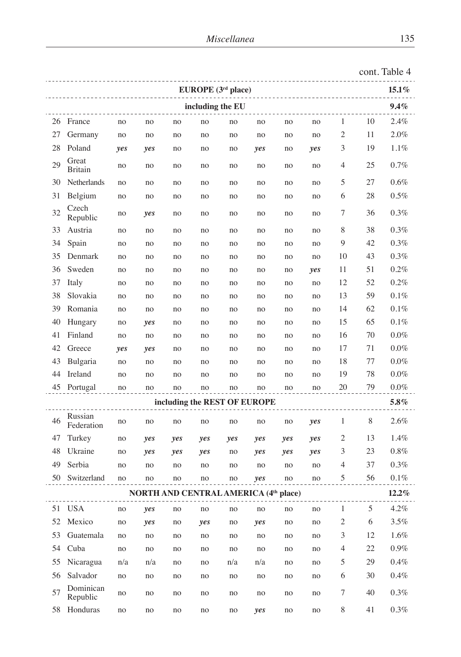| EUROPE (3 <sup>rd</sup> place) |                       |     |                                              |     |     |     |                              |     |     |                |    | $15.1\%$ |
|--------------------------------|-----------------------|-----|----------------------------------------------|-----|-----|-----|------------------------------|-----|-----|----------------|----|----------|
| 9.4%<br>including the EU       |                       |     |                                              |     |     |     |                              |     |     |                |    |          |
|                                | 26 France             | no  | no                                           | no  | no  | no  | no                           | no  | no  | $\mathbf{1}$   | 10 | 2.4%     |
| 27                             | Germany               | no  | no                                           | no  | no  | no  | no                           | no  | no  | $\overline{c}$ | 11 | 2.0%     |
| 28                             | Poland                | yes | yes                                          | no  | no  | no  | yes                          | no  | yes | 3              | 19 | $1.1\%$  |
| 29                             | Great<br>Britain      | no  | no                                           | no  | no  | no  | no                           | no  | no  | 4              | 25 | 0.7%     |
| 30                             | Netherlands           | no  | no                                           | no  | no  | no  | no                           | no  | no  | 5              | 27 | 0.6%     |
| 31                             | Belgium               | no  | no                                           | no  | no  | no  | no                           | no  | no  | 6              | 28 | 0.5%     |
| 32                             | Czech<br>Republic     | no  | yes                                          | no  | no  | no  | no                           | no  | no  | 7              | 36 | $0.3\%$  |
| 33                             | Austria               | no  | no                                           | no  | no  | no  | no                           | no  | no  | 8              | 38 | 0.3%     |
| 34                             | Spain                 | no  | no                                           | no  | no  | no  | no                           | no  | no  | 9              | 42 | 0.3%     |
| 35                             | Denmark               | no  | no                                           | no  | no  | no  | no                           | no  | no  | 10             | 43 | 0.3%     |
| 36                             | Sweden                | no  | no                                           | no  | no  | no  | no                           | no  | yes | 11             | 51 | 0.2%     |
| 37                             | Italy                 | no  | no                                           | no  | no  | no  | no                           | no  | no  | 12             | 52 | 0.2%     |
| 38                             | Slovakia              | no  | no                                           | no  | no  | no  | no                           | no  | no  | 13             | 59 | 0.1%     |
| 39                             | Romania               | no  | no                                           | no  | no  | no  | no                           | no  | no  | 14             | 62 | 0.1%     |
| 40                             | Hungary               | no  | yes                                          | no  | no  | no  | no                           | no  | no  | 15             | 65 | 0.1%     |
| 41                             | Finland               | no  | no                                           | no  | no  | no  | no                           | no  | no  | 16             | 70 | 0.0%     |
| 42                             | Greece                | yes | yes                                          | no  | no  | no  | no                           | no  | no  | 17             | 71 | $0.0\%$  |
| 43                             | Bulgaria              | no  | no                                           | no  | no  | no  | no                           | no  | no  | 18             | 77 | $0.0\%$  |
| 44                             | Ireland               | no  | no                                           | no  | no  | no  | no                           | no  | no  | 19             | 78 | $0.0\%$  |
|                                | 45 Portugal           | no  | no                                           | no  | no  | no  | no                           | no  | no  | 20             | 79 | $0.0\%$  |
|                                |                       |     |                                              |     |     |     | including the REST OF EUROPE |     |     |                |    | 5.8%     |
| 46                             | Russian<br>Federation | no  | no                                           | no  | no  | no  | no                           | no  | yes | 1              | 8  | 2.6%     |
| 47                             | Turkey                | no  | yes                                          | yes | yes | yes | yes                          | yes | yes | 2              | 13 | 1.4%     |
| 48                             | Ukraine               | no  | yes                                          | yes | yes | no  | yes                          | yes | yes | 3              | 23 | 0.8%     |
| 49                             | Serbia                | no  | no                                           | no  | no  | no  | no                           | no  | no  | 4              | 37 | 0.3%     |
| 50                             | Switzerland           | no  | no                                           | no  | no  | no  | yes                          | no  | no  | 5              | 56 | 0.1%     |
|                                |                       |     | <b>NORTH AND CENTRAL AMERICA (4th place)</b> |     |     |     |                              |     |     |                |    | 12.2%    |
|                                | 51 USA                | no  | yes                                          | no  | no  | no  | no                           | no  | no  | 1              | 5  | 4.2%     |
| 52                             | Mexico                | no  | yes                                          | no  | yes | no  | yes                          | no  | no  | $\overline{c}$ | 6  | $3.5\%$  |
| 53                             | Guatemala             | no  | no                                           | no  | no  | no  | no                           | no  | no  | 3              | 12 | $1.6\%$  |
| 54                             | Cuba                  | no  | no                                           | no  | no  | no  | no                           | no  | no  | $\overline{4}$ | 22 | $0.9\%$  |
| 55                             | Nicaragua             | n/a | n/a                                          | no  | no  | n/a | n/a                          | no  | no  | 5              | 29 | 0.4%     |
| 56                             | Salvador              | no  | no                                           | no  | no  | no  | no                           | no  | no  | 6              | 30 | $0.4\%$  |
| 57                             | Dominican<br>Republic | no  | no                                           | no  | no  | no  | no                           | no  | no  | $\tau$         | 40 | $0.3\%$  |
| 58                             | Honduras              | no  | no                                           | no  | no  | no  | yes                          | no  | no  | 8              | 41 | 0.3%     |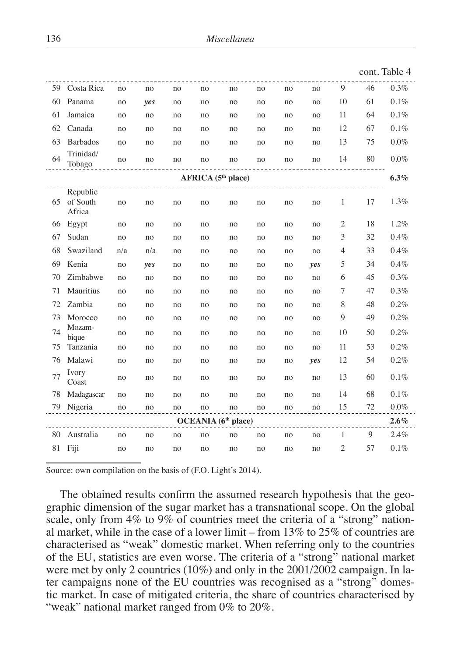|                                                    |                                   |           |                      |    |                     |    |    |    |     |                |    | cont. Table 4 |
|----------------------------------------------------|-----------------------------------|-----------|----------------------|----|---------------------|----|----|----|-----|----------------|----|---------------|
| 59                                                 | Costa Rica                        | no        | no                   | no | no                  | no | no | no | no  | 9              | 46 | $0.3\%$       |
| 60                                                 | Panama                            | no        | yes                  | no | no                  | no | no | no | no  | 10             | 61 | 0.1%          |
| 61                                                 | Jamaica                           | no        | no                   | no | no                  | no | no | no | no  | 11             | 64 | 0.1%          |
| 62                                                 | Canada                            | no        | no                   | no | no                  | no | no | no | no  | 12             | 67 | 0.1%          |
| 63                                                 | <b>Barbados</b>                   | no        | no                   | no | no                  | no | no | no | no  | 13             | 75 | $0.0\%$       |
| 64                                                 | Trinidad/<br>Tobago               | no        | no                   | no | no                  | no | no | no | no  | 14             | 80 | $0.0\%$       |
| AFRICA (5 <sup>th</sup> place)<br>6.3%<br><u>.</u> |                                   |           |                      |    |                     |    |    |    |     |                |    |               |
|                                                    | Republic<br>65 of South<br>Africa | no        | no                   | no | no                  | no | no | no | no  | 1              | 17 | 1.3%          |
| 66                                                 | Egypt                             | no        | no                   | no | no                  | no | no | no | no  | $\overline{2}$ | 18 | 1.2%          |
| 67                                                 | Sudan                             | no        | no                   | no | no                  | no | no | no | no  | 3              | 32 | 0.4%          |
| 68                                                 | Swaziland                         | n/a       | n/a                  | no | no                  | no | no | no | no  | 4              | 33 | 0.4%          |
| 69                                                 | Kenia                             | no        | yes                  | no | no                  | no | no | no | yes | 5              | 34 | 0.4%          |
| 70                                                 | Zimbabwe                          | no        | no                   | no | no                  | no | no | no | no  | 6              | 45 | 0.3%          |
| 71                                                 | Mauritius                         | no        | no                   | no | no                  | no | no | no | no  | 7              | 47 | 0.3%          |
| 72                                                 | Zambia                            | no        | no                   | no | no                  | no | no | no | no  | 8              | 48 | 0.2%          |
| 73                                                 | Morocco                           | no        | no                   | no | no                  | no | no | no | no  | 9              | 49 | 0.2%          |
| 74                                                 | Mozam-<br>bique                   | no        | no                   | no | no                  | no | no | no | no  | 10             | 50 | 0.2%          |
| 75                                                 | Tanzania                          | no        | no                   | no | no                  | no | no | no | no  | 11             | 53 | 0.2%          |
| 76                                                 | Malawi                            | no        | no                   | no | no                  | no | no | no | yes | 12             | 54 | 0.2%          |
| 77                                                 | Ivory<br>Coast                    | no        | no                   | no | no                  | no | no | no | no  | 13             | 60 | 0.1%          |
| 78                                                 | Madagascar                        | no        | no                   | no | no                  | no | no | no | no  | 14             | 68 | 0.1%          |
|                                                    | 79 Nigeria                        | $\rm{no}$ | no                   | no | no                  | no | no | no | no  | 15             | 72 | $0.0\%$       |
|                                                    |                                   |           | $\sim$ $\sim$ $\sim$ |    | OCEANIA (6th place) |    |    |    |     |                |    | $2.6\%$       |
| 80                                                 | Australia                         | no        | no                   | no | no                  | no | no | no | no  | 1              | 9  | 2.4%          |
|                                                    | 81 Fiji                           | no        | no                   | no | no                  | no | no | no | no  | $\overline{2}$ | 57 | 0.1%          |

Source: own compilation on the basis of (F.O. Light's 2014).

The obtained results confirm the assumed research hypothesis that the geographic dimension of the sugar market has a transnational scope. On the global scale, only from 4% to 9% of countries meet the criteria of a "strong" national market, while in the case of a lower limit – from 13% to 25% of countries are characterised as "weak" domestic market. When referring only to the countries of the EU, statistics are even worse. The criteria of a "strong" national market were met by only 2 countries (10%) and only in the 2001/2002 campaign. In later campaigns none of the EU countries was recognised as a "strong" domestic market. In case of mitigated criteria, the share of countries characterised by "weak" national market ranged from 0% to 20%.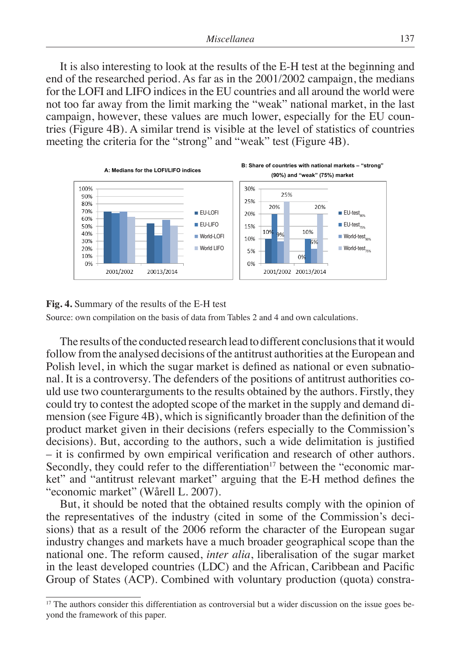It is also interesting to look at the results of the E-H test at the beginning and end of the researched period. As far as in the 2001/2002 campaign, the medians for the LOFI and LIFO indices in the EU countries and all around the world were not too far away from the limit marking the "weak" national market, in the last campaign, however, these values are much lower, especially for the EU countries (Figure 4B). A similar trend is visible at the level of statistics of countries meeting the criteria for the "strong" and "weak" test (Figure 4B).



#### Fig. 4. Summary of the results of the E-H test Summary of the results of the **E-11** lest

Source: own compilation on the basis of data from Tables 2 and 4 and own calculations.

The results of the conducted research lead to different conclusions that it would follow from the analysed decisions of the antitrust authorities at the European and Polish level, in which the sugar market is defined as national or even subnational. It is a controversy. The defenders of the positions of antitrust authorities coand the results of the results of the results obtained by the authors. Firstly, they counterarguments to the results obtained by the authors. Firstly, they could try to contest the adopted scope of the market in the supply and demand dimension (see Figure 4B), which is significantly broader than the definition of the product market given in their decisions (refers especially to the Commission's decisions). But, according to the authors, such a wide delimitation is justified - it is confirmed by own empirical verification and research of other authors. Secondly, they could refer to the differentiation<sup>17</sup> between the "economic market" and "antitrust relevant market" arguing that the E-H method defines the "economic market" (Wårell L. 2007). from the conducted research lead to different conclusions that it

But, it should be noted that the obtained results comply with the opinion of the representatives of the industry (cited in some of the Commission's decisions) that as a result of the 2006 reform the character of the European sugar industry changes and markets have a much broader geographical scope than the mational one. The reform caused, *inter alia*, liberalisation of the sugar market national one. The reform caused, *inter alia*, liberalisation of the sugar market in the least developed countries (LDC) and the African, Caribbean and Pacific Group of States (ACP). Combined with voluntary production (quota) constra-What is more, a similar opinion – i.e. concerning the transition  $\mathcal{A}$  the transitional character of the transmassion of the transmassion of the transmassion of the transmassion of the transmassion of the transmassion

<sup>&</sup>lt;sup>17</sup> The authors consider this differentiation as controversial but a wider discussion on the issue goes beyond the framework of this paper. 

 $17$  The authors consider this differentiation as controversial but a wider discussion on the issue goes beyond the issue goes beyond the issue goes beyond the issue goes beyond the issue goes beyond the issue goes beyond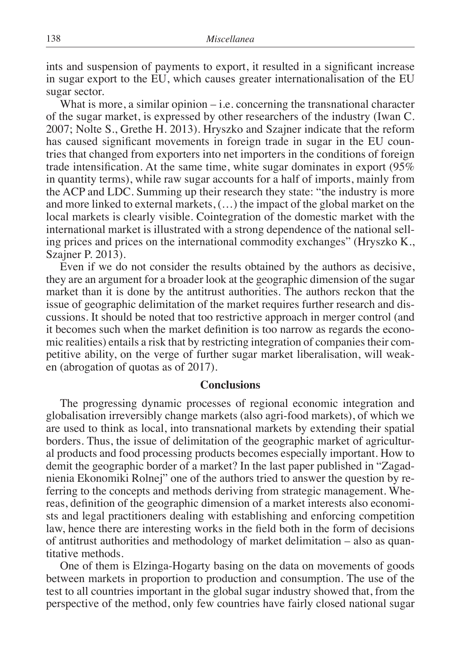ints and suspension of payments to export, it resulted in a significant increase in sugar export to the EU, which causes greater internationalisation of the EU sugar sector.

What is more, a similar opinion  $-\,$  i.e. concerning the transnational character of the sugar market, is expressed by other researchers of the industry (Iwan C. 2007; Nolte S., Grethe H. 2013). Hryszko and Szajner indicate that the reform has caused significant movements in foreign trade in sugar in the EU countries that changed from exporters into net importers in the conditions of foreign trade intensification. At the same time, white sugar dominates in export (95% in quantity terms), while raw sugar accounts for a half of imports, mainly from the ACP and LDC. Summing up their research they state: "the industry is more and more linked to external markets, (…) the impact of the global market on the local markets is clearly visible. Cointegration of the domestic market with the international market is illustrated with a strong dependence of the national selling prices and prices on the international commodity exchanges" (Hryszko K., Szajner P. 2013).

Even if we do not consider the results obtained by the authors as decisive, they are an argument for a broader look at the geographic dimension of the sugar market than it is done by the antitrust authorities. The authors reckon that the issue of geographic delimitation of the market requires further research and discussions. It should be noted that too restrictive approach in merger control (and it becomes such when the market definition is too narrow as regards the economic realities) entails a risk that by restricting integration of companies their competitive ability, on the verge of further sugar market liberalisation, will weaken (abrogation of quotas as of 2017).

#### **Conclusions**

The progressing dynamic processes of regional economic integration and globalisation irreversibly change markets (also agri-food markets), of which we are used to think as local, into transnational markets by extending their spatial borders. Thus, the issue of delimitation of the geographic market of agricultural products and food processing products becomes especially important. How to demit the geographic border of a market? In the last paper published in "Zagadnienia Ekonomiki Rolnej" one of the authors tried to answer the question by referring to the concepts and methods deriving from strategic management. Whereas, definition of the geographic dimension of a market interests also economists and legal practitioners dealing with establishing and enforcing competition law, hence there are interesting works in the field both in the form of decisions of antitrust authorities and methodology of market delimitation – also as quantitative methods.

One of them is Elzinga-Hogarty basing on the data on movements of goods between markets in proportion to production and consumption. The use of the test to all countries important in the global sugar industry showed that, from the perspective of the method, only few countries have fairly closed national sugar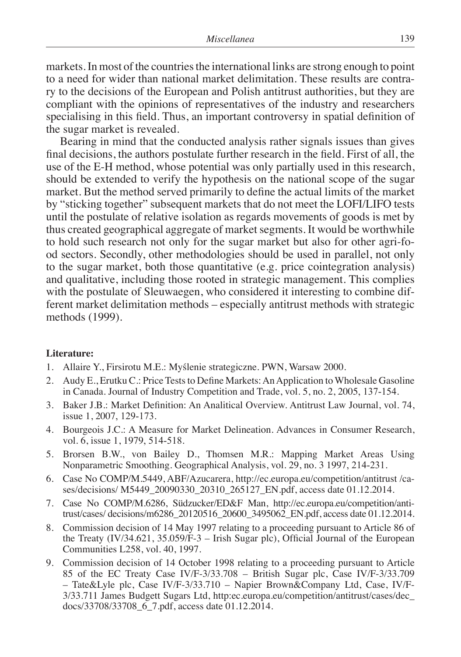markets. In most of the countries the international links are strong enough to point to a need for wider than national market delimitation. These results are contrary to the decisions of the European and Polish antitrust authorities, but they are compliant with the opinions of representatives of the industry and researchers specialising in this field. Thus, an important controversy in spatial definition of the sugar market is revealed.

Bearing in mind that the conducted analysis rather signals issues than gives final decisions, the authors postulate further research in the field. First of all, the use of the E-H method, whose potential was only partially used in this research, should be extended to verify the hypothesis on the national scope of the sugar market. But the method served primarily to define the actual limits of the market by "sticking together" subsequent markets that do not meet the LOFI/LIFO tests until the postulate of relative isolation as regards movements of goods is met by thus created geographical aggregate of market segments. It would be worthwhile to hold such research not only for the sugar market but also for other agri-food sectors. Secondly, other methodologies should be used in parallel, not only to the sugar market, both those quantitative (e.g. price cointegration analysis) and qualitative, including those rooted in strategic management. This complies with the postulate of Sleuwaegen, who considered it interesting to combine different market delimitation methods – especially antitrust methods with strategic methods (1999).

#### **Literature:**

- 1. Allaire Y., Firsirotu M.E.: Myślenie strategiczne. PWN, Warsaw 2000.
- 2. Audy E., Erutku C.: Price Tests to Define Markets: An Application to Wholesale Gasoline in Canada. Journal of Industry Competition and Trade, vol. 5, no. 2, 2005, 137-154.
- 3. Baker J.B.: Market Definition: An Analitical Overview. Antitrust Law Journal, vol. 74, issue 1, 2007, 129-173.
- 4. Bourgeois J.C.: A Measure for Market Delineation. Advances in Consumer Research, vol. 6, issue 1, 1979, 514-518.
- 5. Brorsen B.W., von Bailey D., Thomsen M.R.: Mapping Market Areas Using Nonparametric Smoothing. Geographical Analysis, vol. 29, no. 3 1997, 214-231.
- 6. Case No COMP/M.5449, ABF/Azucarera, http://ec.europa.eu/competition/antitrust /cases/decisions/ M5449\_20090330\_20310\_265127\_EN.pdf, access date 01.12.2014.
- 7. Case No COMP/M.6286, Südzucker/ED&F Man, http://ec.europa.eu/competition/antitrust/cases/ decisions/m6286\_20120516\_20600\_3495062\_EN.pdf, access date 01.12.2014.
- 8. Commission decision of 14 May 1997 relating to a proceeding pursuant to Article 86 of the Treaty (IV/34.621, 35.059/F-3 – Irish Sugar plc), Official Journal of the European Communities L258, vol. 40, 1997.
- 9. Commission decision of 14 October 1998 relating to a proceeding pursuant to Article 85 of the EC Treaty Case IV/F-3/33.708 – British Sugar plc, Case IV/F-3/33.709 – Tate&Lyle plc, Case IV/F-3/33.710 – Napier Brown&Company Ltd, Case, IV/F-3/33.711 James Budgett Sugars Ltd, http:ec.europa.eu/competition/antitrust/cases/dec\_ docs/33708/33708\_6\_7.pdf, access date 01.12.2014.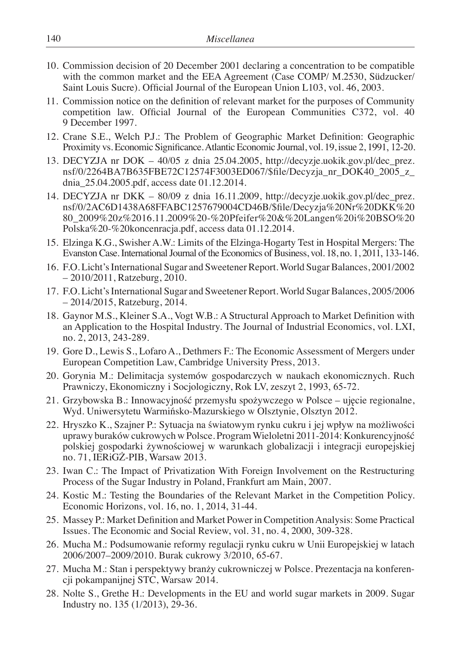- 10. Commission decision of 20 December 2001 declaring a concentration to be compatible with the common market and the EEA Agreement (Case COMP/ M.2530, Südzucker/ Saint Louis Sucre). Official Journal of the European Union L103, vol. 46, 2003.
- 11. Commission notice on the definition of relevant market for the purposes of Community competition law. Official Journal of the European Communities C372, vol. 40 9 December 1997.
- 12. Crane S.E., Welch P.J.: The Problem of Geographic Market Definition: Geographic Proximity vs. Economic Significance. Atlantic Economic Journal, vol. 19, issue 2, 1991, 12-20.
- 13. DECYZJA nr DOK  $-40/05$  z dnia 25.04.2005, http://decyzje.uokik.gov.pl/dec prez. nsf/0/2264BA7B635FBE72C12574F3003ED067/\$file/Decyzja\_nr\_DOK40\_2005\_z\_ dnia\_25.04.2005.pdf, access date 01.12.2014.
- 14. DECYZJA nr DKK 80/09 z dnia 16.11.2009, http://decyzje.uokik.gov.pl/dec\_prez. nsf/0/2AC6D1438A68FFABC1257679004CD46B/\$file/Decyzja%20Nr%20DKK%20 80\_2009%20z%2016.11.2009%20-%20Pfeifer%20&%20Langen%20i%20BSO%20 Polska%20-%20koncenracja.pdf, access data 01.12.2014.
- 15. Elzinga K.G., Swisher A.W.: Limits of the Elzinga-Hogarty Test in Hospital Mergers: The Evanston Case. International Journal of the Economics of Business, vol. 18, no. 1, 2011, 133-146.
- 16. F.O. Licht's International Sugar and Sweetener Report. World Sugar Balances, 2001/2002 – 2010/2011, Ratzeburg, 2010.
- 17. F.O. Licht's International Sugar and Sweetener Report. World Sugar Balances, 2005/2006 – 2014/2015, Ratzeburg, 2014.
- 18. Gaynor M.S., Kleiner S.A., Vogt W.B.: A Structural Approach to Market Definition with an Application to the Hospital Industry. The Journal of Industrial Economics, vol. LXI, no. 2, 2013, 243-289.
- 19. Gore D., Lewis S., Lofaro A., Dethmers F.: The Economic Assessment of Mergers under European Competition Law, Cambridge University Press, 2013.
- 20. Gorynia M.: Delimitacja systemów gospodarczych w naukach ekonomicznych. Ruch Prawniczy, Ekonomiczny i Socjologiczny, Rok LV, zeszyt 2, 1993, 65-72.
- 21. Grzybowska B.: Innowacyjność przemysłu spożywczego w Polsce ujęcie regionalne, Wyd. Uniwersytetu Warmińsko-Mazurskiego w Olsztynie, Olsztyn 2012.
- 22. Hryszko K., Szajner P.: Sytuacja na światowym rynku cukru i jej wpływ na możliwości uprawy buraków cukrowych w Polsce. Program Wieloletni 2011-2014: Konkurencyjność polskiej gospodarki żywnościowej w warunkach globalizacji i integracji europejskiej no. 71, IERiGŻ-PIB, Warsaw 2013.
- 23. Iwan C.: The Impact of Privatization With Foreign Involvement on the Restructuring Process of the Sugar Industry in Poland, Frankfurt am Main, 2007.
- 24. Kostic M.: Testing the Boundaries of the Relevant Market in the Competition Policy. Economic Horizons, vol. 16, no. 1, 2014, 31-44.
- 25. Massey P.: Market Definition and Market Power in Competition Analysis: Some Practical Issues. The Economic and Social Review, vol. 31, no. 4, 2000, 309-328.
- 26. Mucha M.: Podsumowanie reformy regulacji rynku cukru w Unii Europejskiej w latach 2006/2007–2009/2010. Burak cukrowy 3/2010, 65-67.
- 27. Mucha M.: Stan i perspektywy branży cukrowniczej w Polsce. Prezentacja na konferencji pokampanijnej STC, Warsaw 2014.
- 28. Nolte S., Grethe H.: Developments in the EU and world sugar markets in 2009. Sugar Industry no. 135 (1/2013), 29-36.